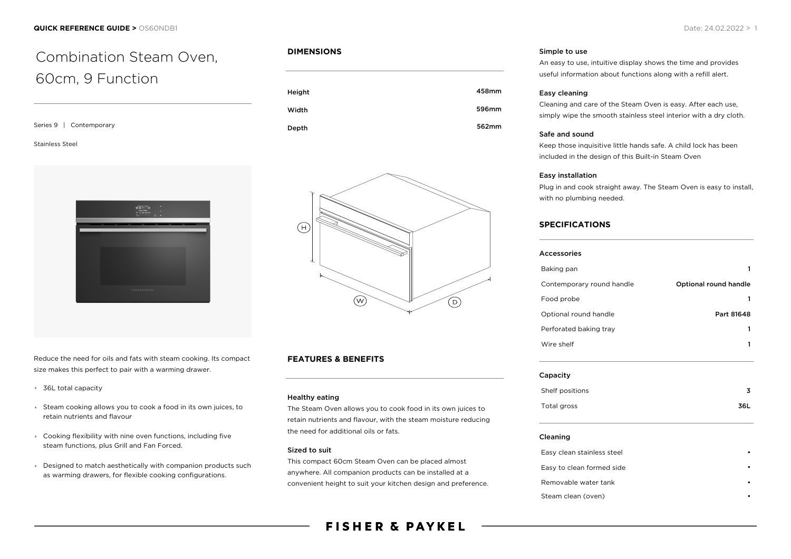# Combination Steam Oven, 60cm, 9 Function

Series 9 | Contemporary

#### Stainless Steel



Reduce the need for oils and fats with steam cooking. Its compact size makes this perfect to pair with a warming drawer.

- 36L total capacity
- Steam cooking allows you to cook a food in its own juices, to retain nutrients and flavour
- Cooking flexibility with nine oven functions, including five steam functions, plus Grill and Fan Forced.
- Designed to match aesthetically with companion products such as warming drawers, for flexible cooking configurations.

#### **DIMENSIONS**





### **FEATURES & BENEFITS**

#### Healthy eating

The Steam Oven allows you to cook food in its own juices to retain nutrients and flavour, with the steam moisture reducing the need for additional oils or fats.

#### Sized to suit

This compact 60cm Steam Oven can be placed almost anywhere. All companion products can be installed at a convenient height to suit your kitchen design and preference.

### **FISHER & PAYKEL**

#### Simple to use

An easy to use, intuitive display shows the time and provides useful information about functions along with a refill alert.

#### Easy cleaning

Cleaning and care of the Steam Oven is easy. After each use, simply wipe the smooth stainless steel interior with a dry cloth.

#### Safe and sound

Keep those inquisitive little hands safe. A child lock has been included in the design of this Built-in Steam Oven

#### Easy installation

Plug in and cook straight away. The Steam Oven is easy to install, with no plumbing needed.

#### **SPECIFICATIONS**

| Accessories               |                       |
|---------------------------|-----------------------|
| Baking pan                |                       |
| Contemporary round handle | Optional round handle |
| Food probe                |                       |
| Optional round handle     | Part 81648            |
| Perforated baking tray    |                       |
| Wire shelf                |                       |
|                           |                       |

#### Capacity

| Shelf positions | 3   |
|-----------------|-----|
| Total gross     | 36L |

#### Cleaning

| Easy clean stainless steel |  |
|----------------------------|--|
| Easy to clean formed side  |  |
| Removable water tank       |  |
| Steam clean (oven)         |  |